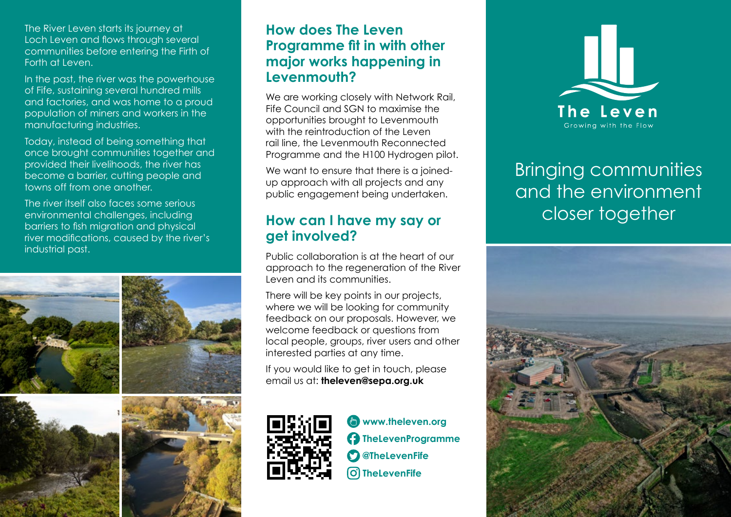The River Leven starts its journey at Loch Leven and flows through several communities before entering the Firth of Forth at Leven.

In the past, the river was the powerhouse of Fife, sustaining several hundred mills and factories, and was home to a proud population of miners and workers in the manufacturing industries.

Today, instead of being something that once brought communities together and provided their livelihoods, the river has become a barrier, cutting people and towns off from one another.

The river itself also faces some serious environmental challenges, including barriers to fish migration and physical river modifications, caused by the river's industrial past.



# **How does The Leven Programme fit in with other major works happening in Levenmouth?**

We are working closely with Network Rail, Fife Council and SGN to maximise the opportunities brought to Levenmouth with the reintroduction of the Leven rail line, the Levenmouth Reconnected Programme and the H100 Hydrogen pilot.

We want to ensure that there is a joinedup approach with all projects and any public engagement being undertaken.

## **How can I have my say or get involved?**

Public collaboration is at the heart of our approach to the regeneration of the River Leven and its communities.

There will be key points in our projects, where we will be looking for community feedback on our proposals. However, we welcome feedback or questions from local people, groups, river users and other interested parties at any time.

If you would like to get in touch, please email us at: **theleven@sepa.org.uk**



**[www.theleven.org](https://www.theleven.org)  [TheLevenProgramme](https://www.facebook.com/thelevenprogramme)   [@TheLevenFife](https://www.twitter.com/thelevenfife)  [TheLevenFife](https://www.instagram.com/thelevenfife)**



# Bringing communities and the environment closer together